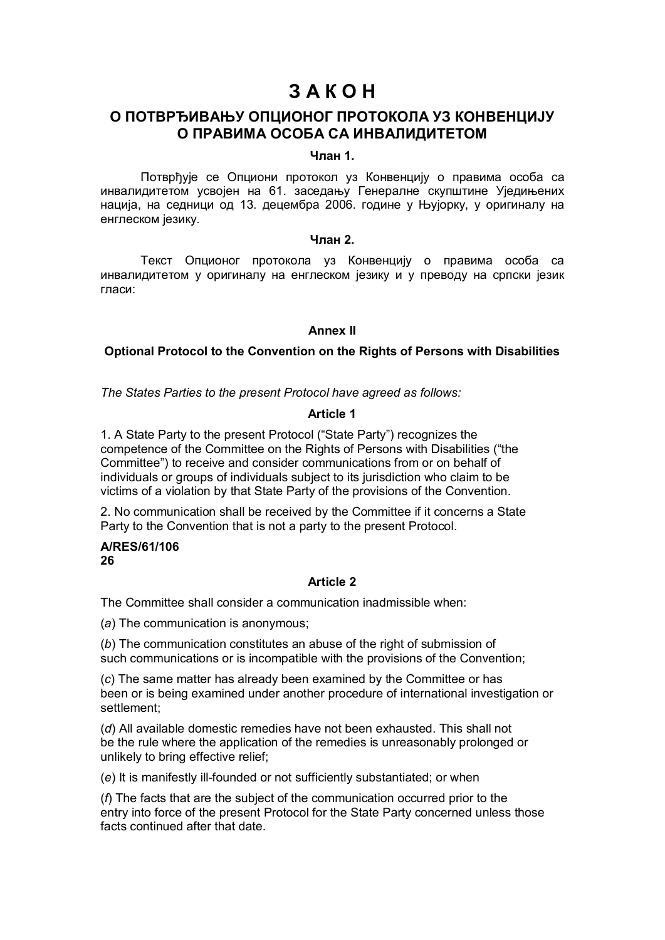# **З А К О Н**

# **О ПОТВРЂИВАЊУ ОПЦИОНОГ ПРОТОКОЛА УЗ КОНВЕНЦИЈУ О ПРАВИМА ОСОБА СА ИНВАЛИДИТЕТОМ**

## **Члан 1.**

Потврђује се Опциони протокол уз Конвенцију о правима особа са инвалидитетом усвојен на 61. заседању Генералне скупштине Уједињених нација, на седници од 13. децембра 2006. године у Њујорку, у оригиналу на енглеском језику.

## **Члан 2.**

Текст Опционог протокола уз Конвенцију о правима особа са инвалидитетом у оригиналу на енглеском језику и у преводу на српски језик гласи:

#### **Annex II**

## **Optional Protocol to the Convention on the Rights of Persons with Disabilities**

*The States Parties to the present Protocol have agreed as follows:*

#### **Article 1**

1. A State Party to the present Protocol ("State Party") recognizes the competence of the Committee on the Rights of Persons with Disabilities ("the Committee") to receive and consider communications from or on behalf of individuals or groups of individuals subject to its jurisdiction who claim to be victims of a violation by that State Party of the provisions of the Convention.

2. No communication shall be received by the Committee if it concerns a State Party to the Convention that is not a party to the present Protocol.

# **A/RES/61/106 26**

## **Article 2**

The Committee shall consider a communication inadmissible when:

(*a*) The communication is anonymous;

(*b*) The communication constitutes an abuse of the right of submission of such communications or is incompatible with the provisions of the Convention;

(*c*) The same matter has already been examined by the Committee or has been or is being examined under another procedure of international investigation or settlement;

(*d*) All available domestic remedies have not been exhausted. This shall not be the rule where the application of the remedies is unreasonably prolonged or unlikely to bring effective relief;

(*e*) It is manifestly ill-founded or not sufficiently substantiated; or when

(*f*) The facts that are the subject of the communication occurred prior to the entry into force of the present Protocol for the State Party concerned unless those facts continued after that date.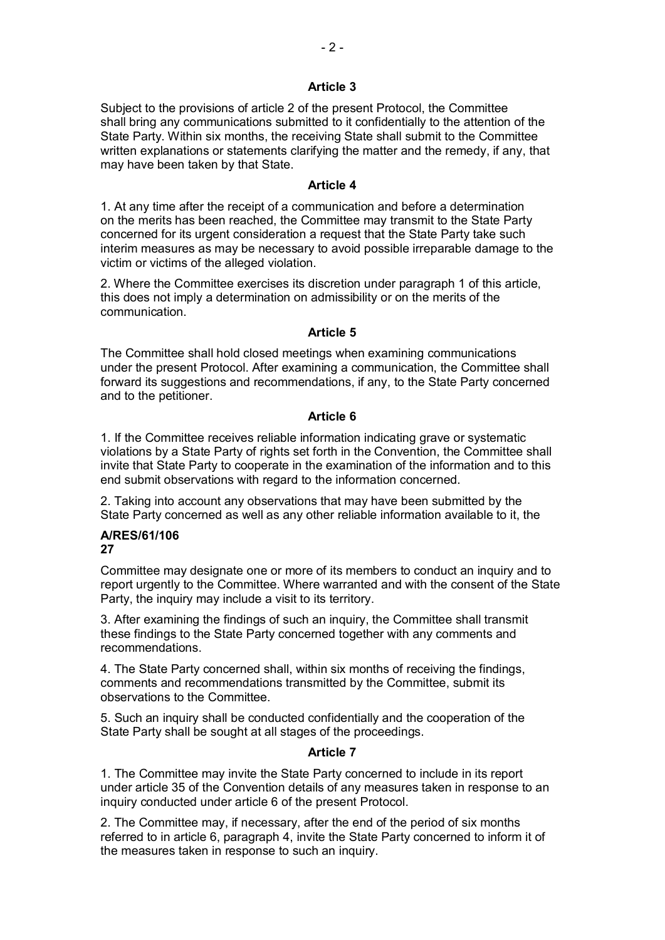## **Article 3**

Subject to the provisions of article 2 of the present Protocol, the Committee shall bring any communications submitted to it confidentially to the attention of the State Party. Within six months, the receiving State shall submit to the Committee written explanations or statements clarifying the matter and the remedy, if any, that may have been taken by that State.

#### **Article 4**

1. At any time after the receipt of a communication and before a determination on the merits has been reached, the Committee may transmit to the State Party concerned for its urgent consideration a request that the State Party take such interim measures as may be necessary to avoid possible irreparable damage to the victim or victims of the alleged violation.

2. Where the Committee exercises its discretion under paragraph 1 of this article, this does not imply a determination on admissibility or on the merits of the communication.

## **Article 5**

The Committee shall hold closed meetings when examining communications under the present Protocol. After examining a communication, the Committee shall forward its suggestions and recommendations, if any, to the State Party concerned and to the petitioner.

## **Article 6**

1. If the Committee receives reliable information indicating grave or systematic violations by a State Party of rights set forth in the Convention, the Committee shall invite that State Party to cooperate in the examination of the information and to this end submit observations with regard to the information concerned.

2. Taking into account any observations that may have been submitted by the State Party concerned as well as any other reliable information available to it, the

#### **A/RES/61/106 27**

Committee may designate one or more of its members to conduct an inquiry and to report urgently to the Committee. Where warranted and with the consent of the State Party, the inquiry may include a visit to its territory.

3. After examining the findings of such an inquiry, the Committee shall transmit these findings to the State Party concerned together with any comments and recommendations.

4. The State Party concerned shall, within six months of receiving the findings, comments and recommendations transmitted by the Committee, submit its observations to the Committee.

5. Such an inquiry shall be conducted confidentially and the cooperation of the State Party shall be sought at all stages of the proceedings.

#### **Article 7**

1. The Committee may invite the State Party concerned to include in its report under article 35 of the Convention details of any measures taken in response to an inquiry conducted under article 6 of the present Protocol.

2. The Committee may, if necessary, after the end of the period of six months referred to in article 6, paragraph 4, invite the State Party concerned to inform it of the measures taken in response to such an inquiry.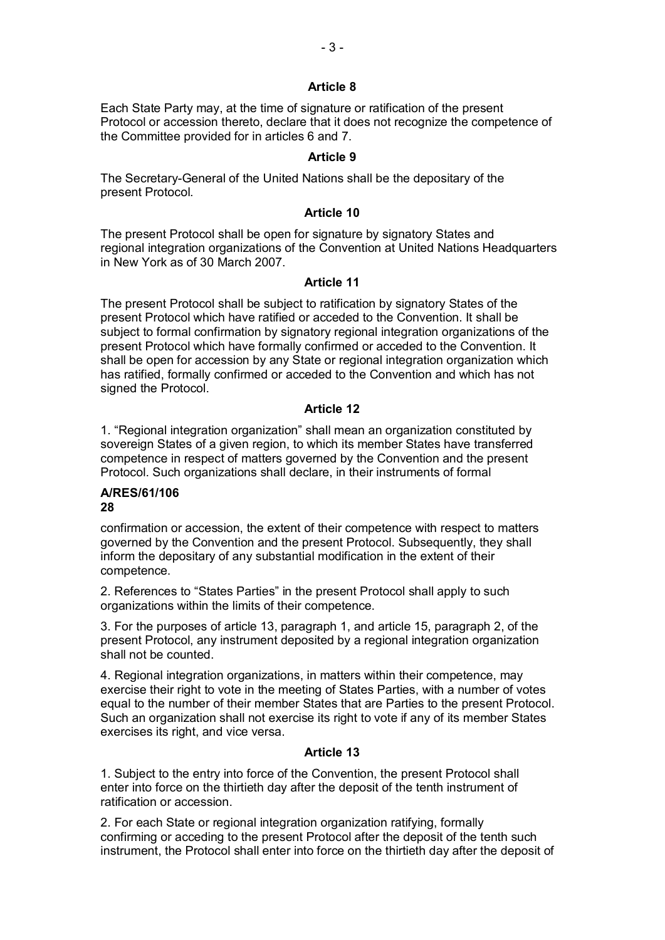## **Article 8**

Each State Party may, at the time of signature or ratification of the present Protocol or accession thereto, declare that it does not recognize the competence of the Committee provided for in articles 6 and 7.

## **Article 9**

The Secretary-General of the United Nations shall be the depositary of the present Protocol.

## **Article 10**

The present Protocol shall be open for signature by signatory States and regional integration organizations of the Convention at United Nations Headquarters in New York as of 30 March 2007.

## **Article 11**

The present Protocol shall be subject to ratification by signatory States of the present Protocol which have ratified or acceded to the Convention. It shall be subject to formal confirmation by signatory regional integration organizations of the present Protocol which have formally confirmed or acceded to the Convention. It shall be open for accession by any State or regional integration organization which has ratified, formally confirmed or acceded to the Convention and which has not signed the Protocol.

## **Article 12**

1. "Regional integration organization" shall mean an organization constituted by sovereign States of a given region, to which its member States have transferred competence in respect of matters governed by the Convention and the present Protocol. Such organizations shall declare, in their instruments of formal

#### **A/RES/61/106 28**

confirmation or accession, the extent of their competence with respect to matters governed by the Convention and the present Protocol. Subsequently, they shall inform the depositary of any substantial modification in the extent of their competence.

2. References to "States Parties" in the present Protocol shall apply to such organizations within the limits of their competence.

3. For the purposes of article 13, paragraph 1, and article 15, paragraph 2, of the present Protocol, any instrument deposited by a regional integration organization shall not be counted.

4. Regional integration organizations, in matters within their competence, may exercise their right to vote in the meeting of States Parties, with a number of votes equal to the number of their member States that are Parties to the present Protocol. Such an organization shall not exercise its right to vote if any of its member States exercises its right, and vice versa.

#### **Article 13**

1. Subject to the entry into force of the Convention, the present Protocol shall enter into force on the thirtieth day after the deposit of the tenth instrument of ratification or accession.

2. For each State or regional integration organization ratifying, formally confirming or acceding to the present Protocol after the deposit of the tenth such instrument, the Protocol shall enter into force on the thirtieth day after the deposit of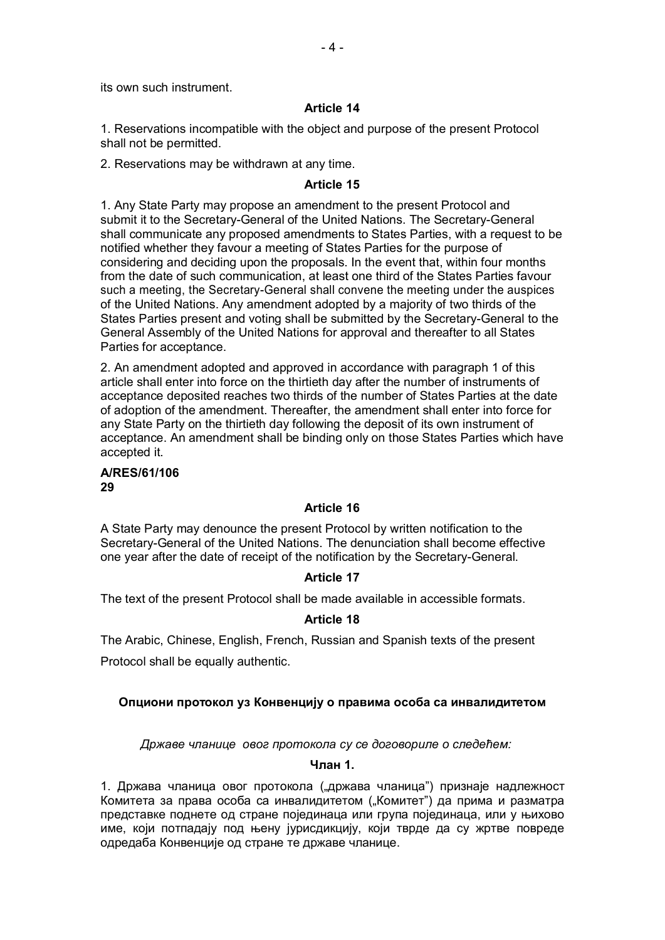its own such instrument.

## **Article 14**

1. Reservations incompatible with the object and purpose of the present Protocol shall not be permitted.

2. Reservations may be withdrawn at any time.

## **Article 15**

1. Any State Party may propose an amendment to the present Protocol and submit it to the Secretary-General of the United Nations. The Secretary-General shall communicate any proposed amendments to States Parties, with a request to be notified whether they favour a meeting of States Parties for the purpose of considering and deciding upon the proposals. In the event that, within four months from the date of such communication, at least one third of the States Parties favour such a meeting, the Secretary-General shall convene the meeting under the auspices of the United Nations. Any amendment adopted by a majority of two thirds of the States Parties present and voting shall be submitted by the Secretary-General to the General Assembly of the United Nations for approval and thereafter to all States Parties for acceptance.

2. An amendment adopted and approved in accordance with paragraph 1 of this article shall enter into force on the thirtieth day after the number of instruments of acceptance deposited reaches two thirds of the number of States Parties at the date of adoption of the amendment. Thereafter, the amendment shall enter into force for any State Party on the thirtieth day following the deposit of its own instrument of acceptance. An amendment shall be binding only on those States Parties which have accepted it.

**A/RES/61/106 29**

## **Article 16**

A State Party may denounce the present Protocol by written notification to the Secretary-General of the United Nations. The denunciation shall become effective one year after the date of receipt of the notification by the Secretary-General.

## **Article 17**

The text of the present Protocol shall be made available in accessible formats.

## **Article 18**

The Arabic, Chinese, English, French, Russian and Spanish texts of the present

Protocol shall be equally authentic.

## **Опциони протокол уз Конвенцију о правима особа са инвалидитетом**

*Државе чланице овог протокола су се договориле о следећем:*

## **Члан 1.**

1. Држава чланица овог протокола ("држава чланица") признаје надлежност Комитета за права особа са инвалидитетом ("Комитет") да прима и разматра представке поднете од стране појединаца или група појединаца, или у њихово име, који потпадају под њену јурисдикцију, који тврде да су жртве повреде одредаба Конвенције од стране те државе чланице.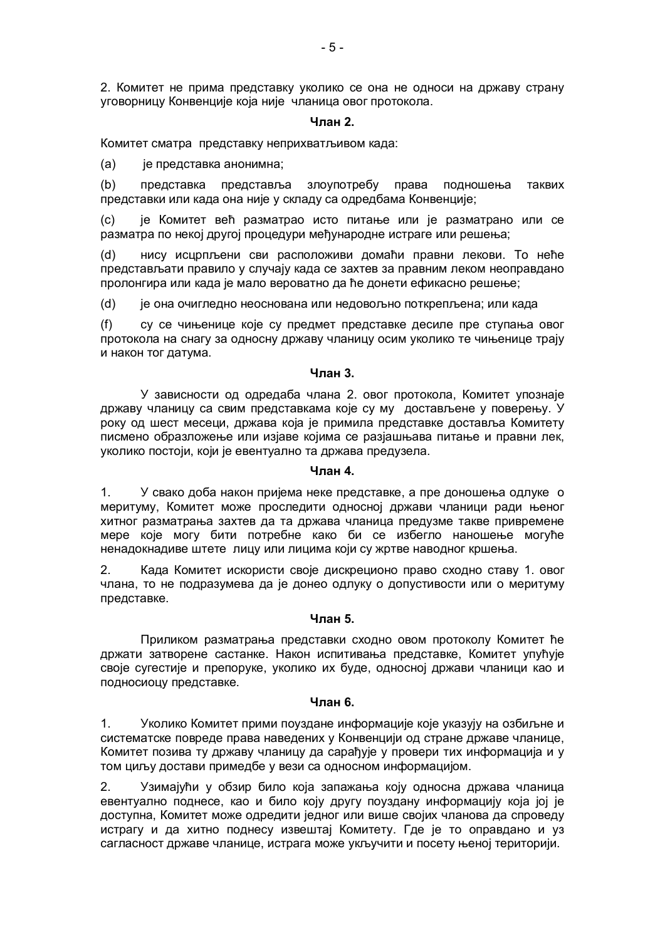2. Комитет не прима представку уколико се она не односи на државу страну уговорницу Конвенције која није чланица овог протокола.

#### **Члан 2.**

Комитет сматра представку неприхватљивом када:

(a) је представка анонимна;

(b) представка представља злоупотребу права подношења таквих представки или када она није у складу са одредбама Конвенције;

(c) је Комитет већ разматрао исто питање или је разматрано или се разматра по некој другој процедури међународне истраге или решења;

(d) нису исцрпљени сви расположиви домаћи правни лекови. То неће представљати правило у случају када се захтев за правним леком неоправдано пролонгира или када је мало вероватно да ће донети ефикасно решење;

(d) је она очигледно неоснована или недовољно поткрепљена; или када

(f) су се чињенице које су предмет представке десиле пре ступања овог протокола на снагу за односну државу чланицу осим уколико те чињенице трају и након тог датума.

#### **Члан 3.**

У зависности од одредаба члана 2. овог протокола, Комитет упознаје државу чланицу са свим представкама које су му достављене у поверењу. У року од шест месеци, држава која је примила представке доставља Комитету писмено образложење или изјаве којима се разјашњава питање и правни лек, уколико постоји, који је евентуално та држава предузела.

#### **Члан 4.**

1. У свако доба након пријема неке представке, а пре доношења одлуке о меритуму, Комитет може проследити односној држави чланици ради њеног хитног разматрања захтев да та држава чланица предузме такве привремене мере које могу бити потребне како би се избегло наношење могуће ненадокнадиве штете лицу или лицима који су жртве наводног кршења.

2. Када Комитет искористи своје дискреционо право сходно ставу 1. овог члана, то не подразумева да је донео одлуку о допустивости или о меритуму представке.

## **Члан 5.**

Приликом разматрања представки сходно овом протоколу Комитет ће држати затворене састанке. Након испитивања представке, Комитет упућује своје сугестије и препоруке, уколико их буде, односној држави чланици као и подносиоцу представке.

#### **Члан 6.**

1. Уколико Комитет прими поуздане информације које указују на озбиљне и систематске повреде права наведених у Конвенцији од стране државе чланице, Комитет позива ту државу чланицу да сарађује у провери тих информација и у том циљу достави примедбе у вези са односном информацијом.

2. Узимајући у обзир било која запажања коју односна држава чланица евентуално поднесе, као и било коју другу поуздану информацију која јој је доступна, Комитет може одредити једног или више својих чланова да спроведу истрагу и да хитно поднесу извештај Комитету. Где је то оправдано и уз сагласност државе чланице, истрага може укључити и посету њеној територији.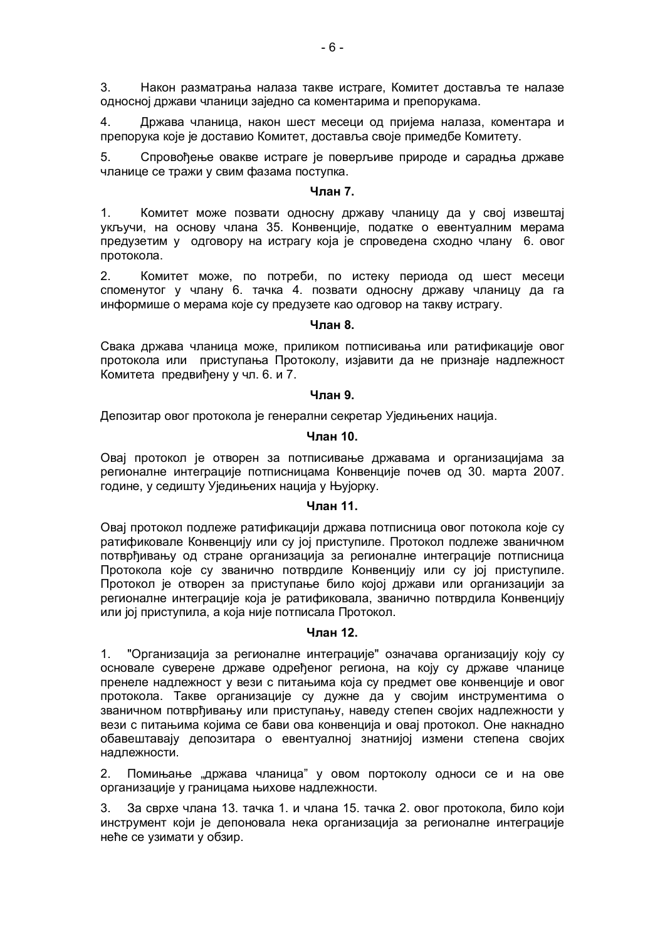3. Након разматрања налаза такве истраге, Комитет доставља те налазе односној држави чланици заједно са коментарима и препорукама.

4. Држава чланица, након шест месеци од пријема налаза, коментара и препорука које је доставио Комитет, доставља своје примедбе Комитету.

5. Спровођење овакве истраге је поверљиве природе и сарадња државе чланице се тражи у свим фазама поступка.

#### **Члан 7.**

1. Комитет може позвати односну државу чланицу да у свој извештај укључи, на основу члана 35. Конвенције, податке о евентуалним мерама предузетим у одговору на истрагу која је спроведена сходно члану 6. овог протокола.

2. Комитет може, по потреби, по истеку периода од шест месеци споменутог у члану 6. тачка 4. позвати односну државу чланицу да га информише о мерама које су предузете као одговор на такву истрагу.

#### **Члан 8.**

Свака држава чланица може, приликом потписивања или ратификације овог протокола или приступања Протоколу, изјавити да не признаје надлежност Комитета предвиђену у чл. 6. и 7.

#### **Члан 9.**

Депозитар овог протокола је генерални секретар Уједињених нација.

#### **Члан 10.**

Овај протокол је отворен за потписивање државама и организацијама за регионалне интеграције потписницама Конвенције почев од 30. марта 2007. године, у седишту Уједињених нација у Њујорку.

## **Члан 11.**

Овај протокол подлеже ратификацији држава потписница овог потокола које су ратификовале Конвенцију или су јој приступиле. Протокол подлеже званичном потврђивању од стране организација за регионалне интеграције потписница Протокола које су званично потврдиле Конвенцију или су јој приступиле. Протокол је отворен за приступање било којој држави или организацији за регионалне интеграције која је ратификовала, званично потврдила Конвенцију или јој приступила, а која није потписала Протокол.

## **Члан 12.**

1. "Организација за регионалне интеграције" означава организацију коју су основале суверене државе одређеног региона, на коју су државе чланице пренеле надлежност у вези с питањима која су предмет ове конвенције и овог протокола. Такве организације су дужне да у својим инструментима о званичном потврђивању или приступању, наведу степен својих надлежности у вези с питањима којима се бави ова конвенција и овај протокол. Оне накнадно обавештавају депозитара о евентуалној знатнијој измени степена својих надлежности.

2. Помињање "држава чланица" у овом портоколу односи се и на ове организације у границама њихове надлежности.

3. За сврхе члана 13. тачка 1. и члана 15. тачка 2. овог протокола, било који инструмент који је депоновала нека организација за регионалне интеграције неће се узимати у обзир.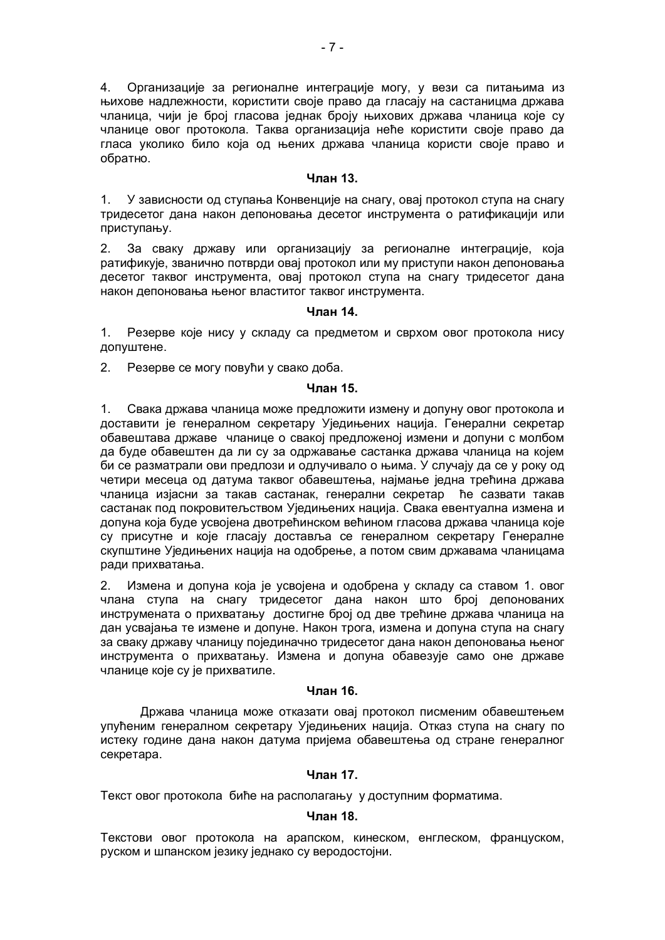4. Организације за регионалне интеграције могу, у вези са питањима из њихове надлежности, користити своје право да гласају на састаницма држава чланица, чији је број гласова једнак броју њихових држава чланица које су чланице овог протокола. Таква организација неће користити своје право да гласа уколико било која од њених држава чланица користи своје право и обратно.

## **Члан 13.**

1. У зависности од ступања Конвенције на снагу, овај протокол ступа на снагу тридесетог дана након депоновања десетог инструмента о ратификацији или приступању.

2. За сваку државу или организацију за регионалне интеграције, која ратификује, званично потврди овај протокол или му приступи након депоновања десетог таквог инструмента, овај протокол ступа на снагу тридесетог дана након депоновања њеног властитог таквог инструмента.

#### **Члан 14.**

1. Резерве које нису у складу са предметом и сврхом овог протокола нису допуштене.

2. Резерве се могу повући у свако доба.

## **Члан 15.**

1. Свака држава чланица може предложити измену и допуну овог протокола и доставити је генералном секретару Уједињених нација. Генерални секретар обавештава државе чланице о свакој предложеној измени и допуни с молбом да буде обавештен да ли су за одржавање састанка држава чланица на којем би се разматрали ови предлози и одлучивало о њима. У случају да се у року од четири месеца од датума таквог обавештења, најмање једна трећина држава чланица изјасни за такав састанак, генерални секретар ће сазвати такав састанак под покровитељством Уједињених нација. Свака евентуална измена и допуна која буде усвојена двотрећинском већином гласова држава чланица које су присутне и које гласају доставља се генералном секретару Генералне скупштине Уједињених нација на одобрење, а потом свим државама чланицама ради прихватања.

2. Измена и допуна која је усвојена и одобрена у складу са ставом 1. овог члана ступа на снагу тридесетог дана након што број депонованих инструмената о прихватању достигне број од две трећине држава чланица на дан усвајања те измене и допуне. Након трога, измена и допуна ступа на снагу за сваку државу чланицу појединачно тридесетог дана након депоновања њеног инструмента о прихватању. Измена и допуна обавезује само оне државе чланице које су је прихватиле.

## **Члан 16.**

Држава чланица може отказати овај протокол писменим обавештењем упућеним генералном секретару Уједињених нација. Отказ ступа на снагу по истеку године дана након датума пријема обавештења од стране генералног секретара.

#### **Члан 17.**

Текст овог протокола биће на располагању у доступним форматима.

#### **Члан 18.**

Текстови овог протокола на арапском, кинеском, енглеском, француском, руском и шпанском језику једнако су веродостојни.